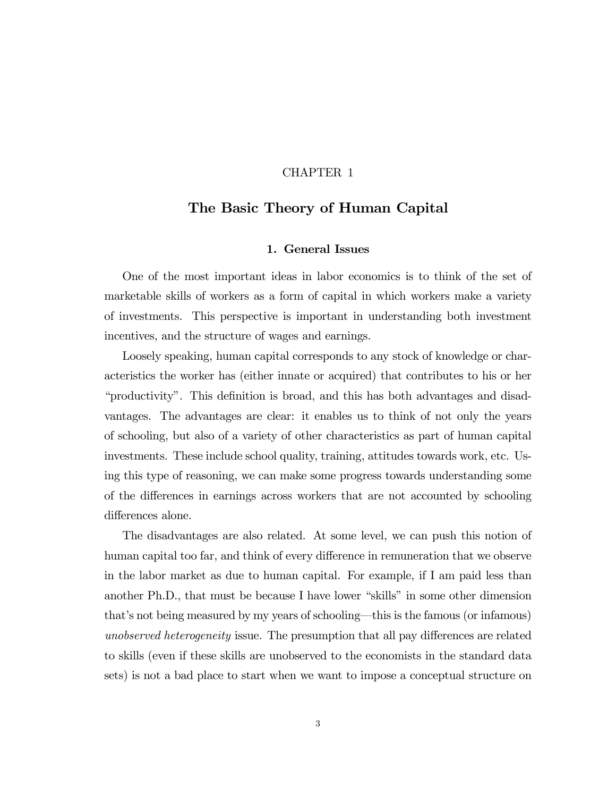## CHAPTER 1

## The Basic Theory of Human Capital

## 1. General Issues

One of the most important ideas in labor economics is to think of the set of marketable skills of workers as a form of capital in which workers make a variety of investments. This perspective is important in understanding both investment incentives, and the structure of wages and earnings.

Loosely speaking, human capital corresponds to any stock of knowledge or characteristics the worker has (either innate or acquired) that contributes to his or her "productivity". This definition is broad, and this has both advantages and disadvantages. The advantages are clear: it enables us to think of not only the years of schooling, but also of a variety of other characteristics as part of human capital investments. These include school quality, training, attitudes towards work, etc. Using this type of reasoning, we can make some progress towards understanding some of the differences in earnings across workers that are not accounted by schooling differences alone.

The disadvantages are also related. At some level, we can push this notion of human capital too far, and think of every difference in remuneration that we observe in the labor market as due to human capital. For example, if I am paid less than another Ph.D., that must be because I have lower "skills" in some other dimension that's not being measured by my years of schooling–this is the famous (or infamous) unobserved heterogeneity issue. The presumption that all pay differences are related to skills (even if these skills are unobserved to the economists in the standard data sets) is not a bad place to start when we want to impose a conceptual structure on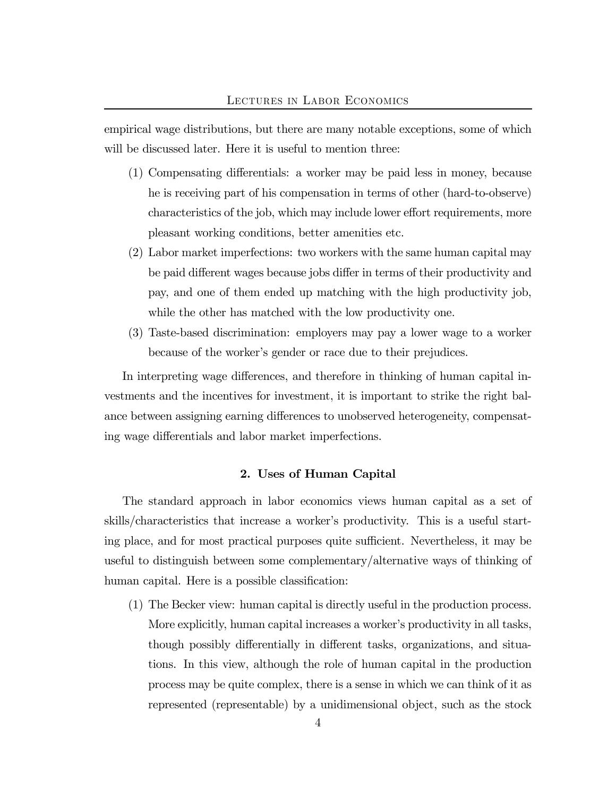empirical wage distributions, but there are many notable exceptions, some of which will be discussed later. Here it is useful to mention three:

- (1) Compensating differentials: a worker may be paid less in money, because he is receiving part of his compensation in terms of other (hard-to-observe) characteristics of the job, which may include lower effort requirements, more pleasant working conditions, better amenities etc.
- (2) Labor market imperfections: two workers with the same human capital may be paid different wages because jobs differ in terms of their productivity and pay, and one of them ended up matching with the high productivity job, while the other has matched with the low productivity one.
- (3) Taste-based discrimination: employers may pay a lower wage to a worker because of the worker's gender or race due to their prejudices.

In interpreting wage differences, and therefore in thinking of human capital investments and the incentives for investment, it is important to strike the right balance between assigning earning differences to unobserved heterogeneity, compensating wage differentials and labor market imperfections.

## 2. Uses of Human Capital

The standard approach in labor economics views human capital as a set of skills/characteristics that increase a worker's productivity. This is a useful starting place, and for most practical purposes quite sufficient. Nevertheless, it may be useful to distinguish between some complementary/alternative ways of thinking of human capital. Here is a possible classification:

(1) The Becker view: human capital is directly useful in the production process. More explicitly, human capital increases a worker's productivity in all tasks, though possibly differentially in different tasks, organizations, and situations. In this view, although the role of human capital in the production process may be quite complex, there is a sense in which we can think of it as represented (representable) by a unidimensional object, such as the stock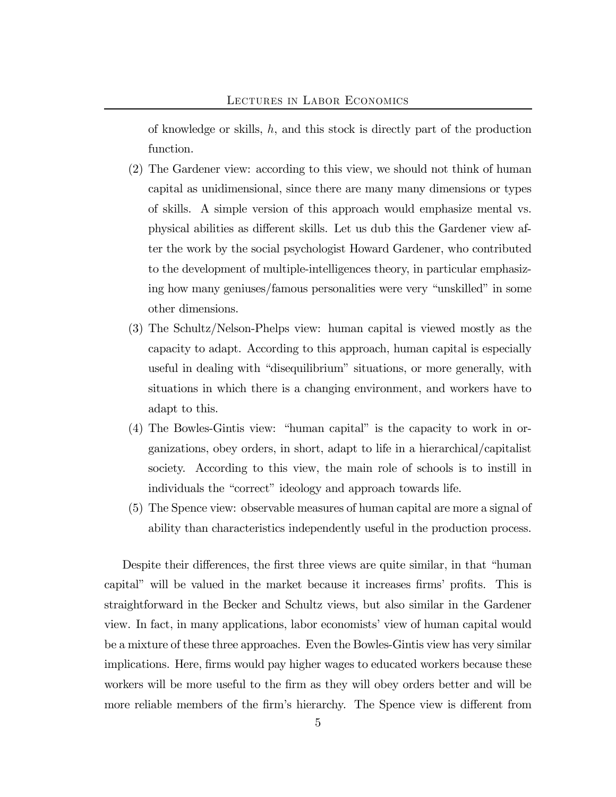of knowledge or skills,  $h$ , and this stock is directly part of the production function.

- (2) The Gardener view: according to this view, we should not think of human capital as unidimensional, since there are many many dimensions or types of skills. A simple version of this approach would emphasize mental vs. physical abilities as different skills. Let us dub this the Gardener view after the work by the social psychologist Howard Gardener, who contributed to the development of multiple-intelligences theory, in particular emphasizing how many geniuses/famous personalities were very "unskilled" in some other dimensions.
- (3) The Schultz/Nelson-Phelps view: human capital is viewed mostly as the capacity to adapt. According to this approach, human capital is especially useful in dealing with "disequilibrium" situations, or more generally, with situations in which there is a changing environment, and workers have to adapt to this.
- (4) The Bowles-Gintis view: "human capital" is the capacity to work in organizations, obey orders, in short, adapt to life in a hierarchical/capitalist society. According to this view, the main role of schools is to instill in individuals the "correct" ideology and approach towards life.
- (5) The Spence view: observable measures of human capital are more a signal of ability than characteristics independently useful in the production process.

Despite their differences, the first three views are quite similar, in that "human capital" will be valued in the market because it increases firms' profits. This is straightforward in the Becker and Schultz views, but also similar in the Gardener view. In fact, in many applications, labor economists' view of human capital would be a mixture of these three approaches. Even the Bowles-Gintis view has very similar implications. Here, firms would pay higher wages to educated workers because these workers will be more useful to the firm as they will obey orders better and will be more reliable members of the firm's hierarchy. The Spence view is different from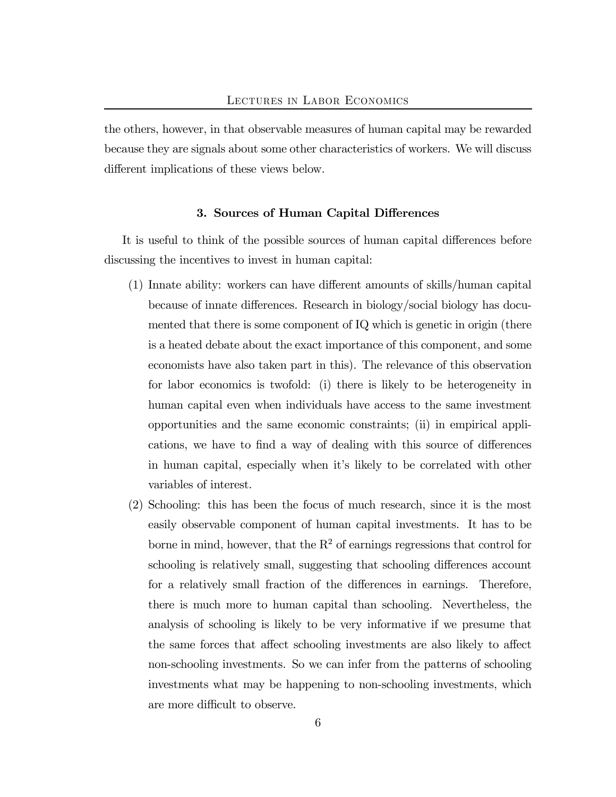the others, however, in that observable measures of human capital may be rewarded because they are signals about some other characteristics of workers. We will discuss different implications of these views below.

## 3. Sources of Human Capital Differences

It is useful to think of the possible sources of human capital differences before discussing the incentives to invest in human capital:

- (1) Innate ability: workers can have different amounts of skills/human capital because of innate differences. Research in biology/social biology has documented that there is some component of IQ which is genetic in origin (there is a heated debate about the exact importance of this component, and some economists have also taken part in this). The relevance of this observation for labor economics is twofold: (i) there is likely to be heterogeneity in human capital even when individuals have access to the same investment opportunities and the same economic constraints; (ii) in empirical applications, we have to find a way of dealing with this source of differences in human capital, especially when it's likely to be correlated with other variables of interest.
- (2) Schooling: this has been the focus of much research, since it is the most easily observable component of human capital investments. It has to be borne in mind, however, that the  $R^2$  of earnings regressions that control for schooling is relatively small, suggesting that schooling differences account for a relatively small fraction of the differences in earnings. Therefore, there is much more to human capital than schooling. Nevertheless, the analysis of schooling is likely to be very informative if we presume that the same forces that affect schooling investments are also likely to affect non-schooling investments. So we can infer from the patterns of schooling investments what may be happening to non-schooling investments, which are more difficult to observe.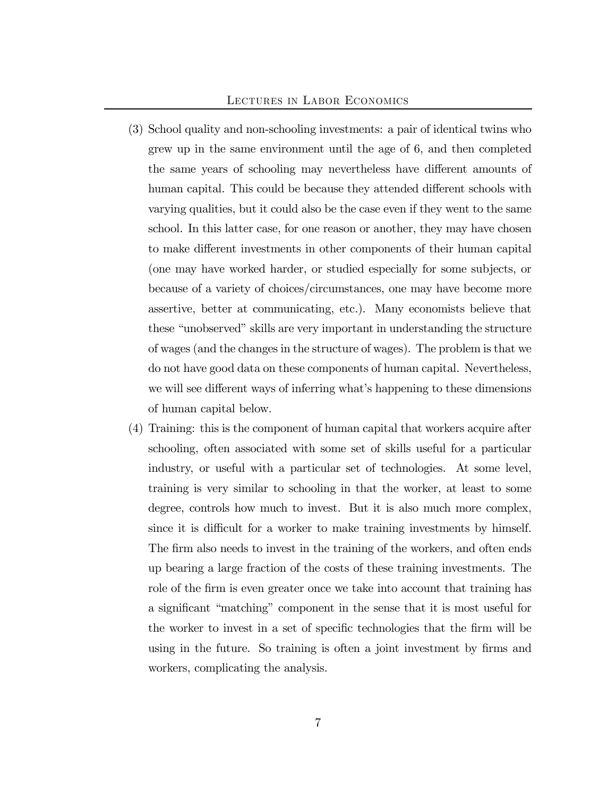### Lectures in Labor Economics

- (3) School quality and non-schooling investments: a pair of identical twins who grew up in the same environment until the age of 6, and then completed the same years of schooling may nevertheless have different amounts of human capital. This could be because they attended different schools with varying qualities, but it could also be the case even if they went to the same school. In this latter case, for one reason or another, they may have chosen to make different investments in other components of their human capital (one may have worked harder, or studied especially for some subjects, or because of a variety of choices/circumstances, one may have become more assertive, better at communicating, etc.). Many economists believe that these "unobserved" skills are very important in understanding the structure of wages (and the changes in the structure of wages). The problem is that we do not have good data on these components of human capital. Nevertheless, we will see different ways of inferring what's happening to these dimensions of human capital below.
- (4) Training: this is the component of human capital that workers acquire after schooling, often associated with some set of skills useful for a particular industry, or useful with a particular set of technologies. At some level, training is very similar to schooling in that the worker, at least to some degree, controls how much to invest. But it is also much more complex, since it is difficult for a worker to make training investments by himself. The firm also needs to invest in the training of the workers, and often ends up bearing a large fraction of the costs of these training investments. The role of the firm is even greater once we take into account that training has a significant "matching" component in the sense that it is most useful for the worker to invest in a set of specific technologies that the firm will be using in the future. So training is often a joint investment by firms and workers, complicating the analysis.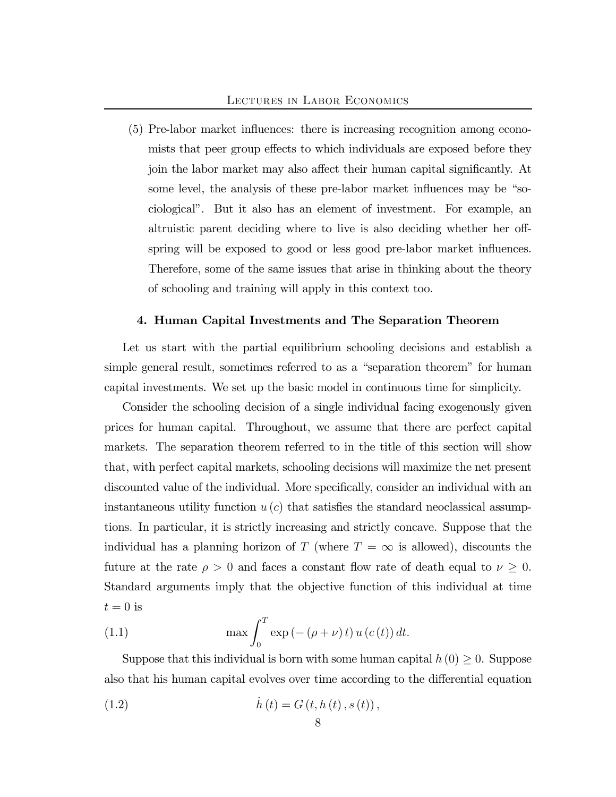(5) Pre-labor market influences: there is increasing recognition among economists that peer group effects to which individuals are exposed before they join the labor market may also affect their human capital significantly. At some level, the analysis of these pre-labor market influences may be "sociological". But it also has an element of investment. For example, an altruistic parent deciding where to live is also deciding whether her offspring will be exposed to good or less good pre-labor market influences. Therefore, some of the same issues that arise in thinking about the theory of schooling and training will apply in this context too.

### 4. Human Capital Investments and The Separation Theorem

Let us start with the partial equilibrium schooling decisions and establish a simple general result, sometimes referred to as a "separation theorem" for human capital investments. We set up the basic model in continuous time for simplicity.

Consider the schooling decision of a single individual facing exogenously given prices for human capital. Throughout, we assume that there are perfect capital markets. The separation theorem referred to in the title of this section will show that, with perfect capital markets, schooling decisions will maximize the net present discounted value of the individual. More specifically, consider an individual with an instantaneous utility function  $u(c)$  that satisfies the standard neoclassical assumptions. In particular, it is strictly increasing and strictly concave. Suppose that the individual has a planning horizon of T (where  $T = \infty$  is allowed), discounts the future at the rate  $\rho > 0$  and faces a constant flow rate of death equal to  $\nu \geq 0$ . Standard arguments imply that the objective function of this individual at time  $t = 0$  is

(1.1) 
$$
\max \int_0^T \exp\left(-\left(\rho+\nu\right)t\right)u\left(c\left(t\right)\right)dt.
$$

Suppose that this individual is born with some human capital  $h(0) \geq 0$ . Suppose also that his human capital evolves over time according to the differential equation

(1.2) 
$$
\dot{h}(t) = G(t, h(t), s(t)),
$$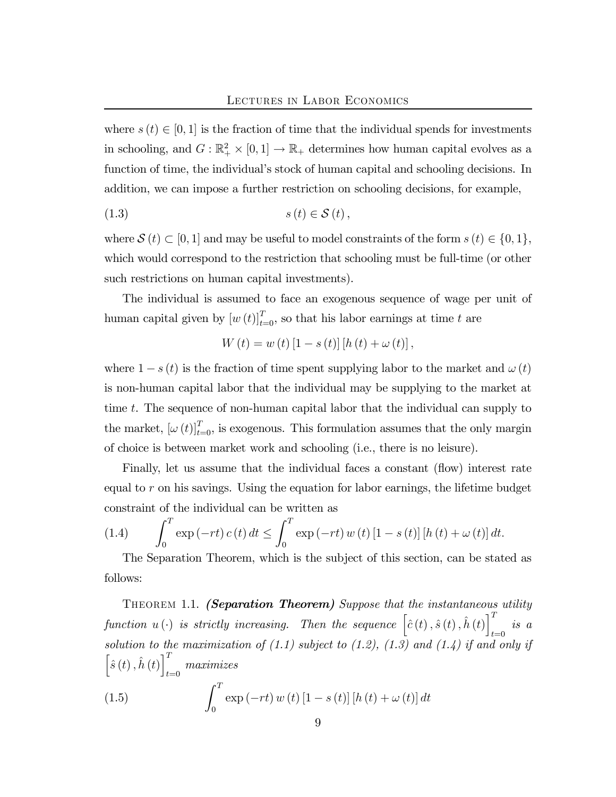where  $s(t) \in [0, 1]$  is the fraction of time that the individual spends for investments in schooling, and  $G: \mathbb{R}_+^2 \times [0,1] \to \mathbb{R}_+$  determines how human capital evolves as a function of time, the individual's stock of human capital and schooling decisions. In addition, we can impose a further restriction on schooling decisions, for example,

$$
(1.3) \t s(t) \in \mathcal{S}(t),
$$

where  $S(t) \subset [0, 1]$  and may be useful to model constraints of the form  $s(t) \in \{0, 1\}$ , which would correspond to the restriction that schooling must be full-time (or other such restrictions on human capital investments).

The individual is assumed to face an exogenous sequence of wage per unit of human capital given by  $[w(t)]_{t=0}^T$ , so that his labor earnings at time t are

$$
W(t) = w(t) [1 - s(t)] [h(t) + \omega(t)],
$$

where  $1 - s(t)$  is the fraction of time spent supplying labor to the market and  $\omega(t)$ is non-human capital labor that the individual may be supplying to the market at time t. The sequence of non-human capital labor that the individual can supply to the market,  $[\omega(t)]_{t=0}^T$ , is exogenous. This formulation assumes that the only margin of choice is between market work and schooling (i.e., there is no leisure).

Finally, let us assume that the individual faces a constant (flow) interest rate equal to r on his savings. Using the equation for labor earnings, the lifetime budget constraint of the individual can be written as

(1.4) 
$$
\int_0^T \exp(-rt) c(t) dt \le \int_0^T \exp(-rt) w(t) [1 - s(t)] [h(t) + \omega(t)] dt.
$$

The Separation Theorem, which is the subject of this section, can be stated as follows:

THEOREM 1.1. (Separation Theorem) Suppose that the instantaneous utility function  $u(\cdot)$  is strictly increasing. Then the sequence  $\left[\hat{c}(t), \hat{s}(t), \hat{h}(t)\right]_t^T$  $\int_{t=0}$  is a solution to the maximization of (1.1) subject to (1.2), (1.3) and (1.4) if and only if  $\left[\hat{s}\left(t\right),\hat{h}\left(t\right)\right]^{T}$ t=0 maximizes

(1.5) 
$$
\int_0^T \exp\left(-rt\right)w\left(t\right)\left[1-s\left(t\right)\right]\left[h\left(t\right)+\omega\left(t\right)\right]dt
$$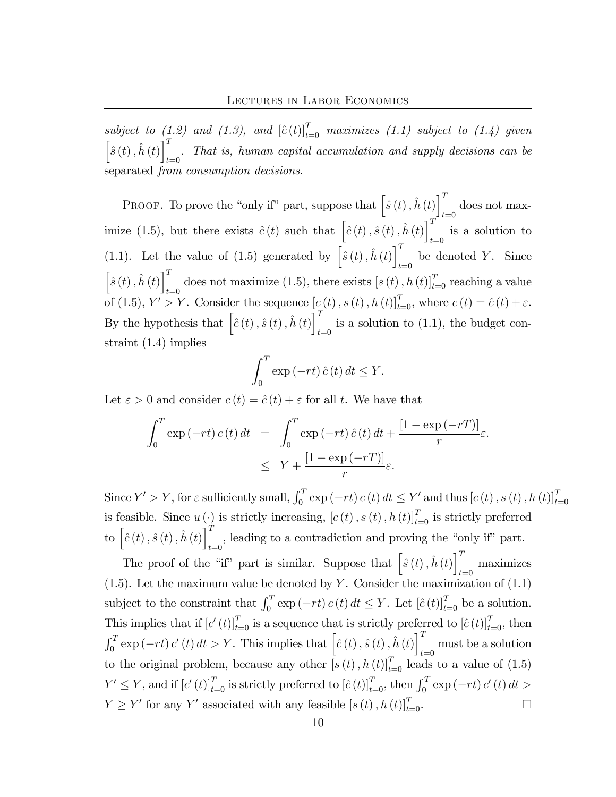subject to (1.2) and (1.3), and  $[\hat{c}(t)]_{t=0}^T$  maximizes (1.1) subject to (1.4) given  $\left[\hat{s}\left(t\right), \hat{h}\left(t\right)\right]^T$  $t_{t=0}$ . That is, human capital accumulation and supply decisions can be separated from consumption decisions.

PROOF. To prove the "only if" part, suppose that  $\left[\hat{s}(t), \hat{h}(t)\right]^T$  $t=0$  does not maximize (1.5), but there exists  $\hat{c}(t)$  such that  $\left[\hat{c}(t), \hat{s}(t), \hat{h}(t)\right]^T$ is a solution to  $t=0$ (1.1). Let the value of (1.5) generated by  $\left[\hat{s}(t), \hat{h}(t)\right]^T$ be denoted Y. Since  $\left[\hat{s}\left(t\right), \hat{h}\left(t\right)\right]^T$ does not maximize (1.5), there exists  $[s (t), h (t)]_{t=0}^T$  reaching a value of (1.5),  $Y' > Y$ . Consider the sequence  $[c(t), s(t), h(t)]_{t=0}^T$ , where  $c(t) = \hat{c}(t) + \varepsilon$ . By the hypothesis that  $\left[\hat{c}(t), \hat{s}(t), \hat{h}(t)\right]^T$ is a solution to (1.1), the budget constraint (1.4) implies

$$
\int_0^T \exp\left(-rt\right)\hat{c}\left(t\right)dt \le Y.
$$

Let  $\varepsilon > 0$  and consider  $c(t) = \hat{c}(t) + \varepsilon$  for all t. We have that

$$
\int_0^T \exp(-rt) c(t) dt = \int_0^T \exp(-rt) \hat{c}(t) dt + \frac{[1 - \exp(-rT)]}{r} \varepsilon.
$$
  

$$
\leq Y + \frac{[1 - \exp(-rT)]}{r} \varepsilon.
$$

Since  $Y' > Y$ , for  $\varepsilon$  sufficiently small,  $\int_0^T \exp(-rt) c(t) dt \leq Y'$  and thus  $[c(t), s(t), h(t)]_{t=0}^T$ is feasible. Since  $u(\cdot)$  is strictly increasing,  $[c(t), s(t), h(t)]_{t=0}^T$  is strictly preferred to  $\left[\hat{c}\left(t\right),\hat{s}\left(t\right),\hat{h}\left(t\right)\right]^{T}$  $t=0$ , leading to a contradiction and proving the "only if" part.

The proof of the "if" part is similar. Suppose that  $\left[\hat{s}(t), \hat{h}(t)\right]^T$  $\max_{t=0}$  maximizes (1.5). Let the maximum value be denoted by  $Y$ . Consider the maximization of  $(1.1)$ subject to the constraint that  $\int_0^T \exp(-rt) c(t) dt \leq Y$ . Let  $[\hat{c}(t)]_{t=0}^T$  be a solution. This implies that if  $[c'(t)]_{t=0}^T$  is a sequence that is strictly preferred to  $[\hat{c}(t)]_{t=0}^T$ , then  $\int_0^T \exp(-rt) c'(t) dt > Y$ . This implies that  $\left[\hat{c}(t), \hat{s}(t), \hat{h}(t)\right]_t^T$  $t=0$  must be a solution to the original problem, because any other  $[s(t), h(t)]_{t=0}^T$  leads to a value of  $(1.5)$  $Y' \leq Y$ , and if  $[c'(t)]_{t=0}^T$  is strictly preferred to  $[\hat{c}(t)]_{t=0}^T$ , then  $\int_0^T \exp(-rt) c'(t) dt >$  $Y \geq Y'$  for any Y' associated with any feasible  $[s (t), h (t)]_{t=0}^T$ .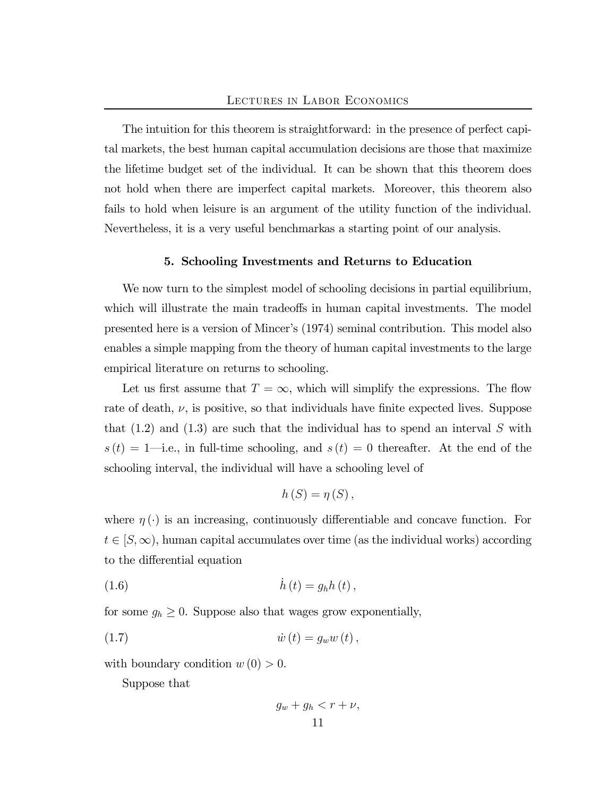The intuition for this theorem is straightforward: in the presence of perfect capital markets, the best human capital accumulation decisions are those that maximize the lifetime budget set of the individual. It can be shown that this theorem does not hold when there are imperfect capital markets. Moreover, this theorem also fails to hold when leisure is an argument of the utility function of the individual. Nevertheless, it is a very useful benchmarkas a starting point of our analysis.

### 5. Schooling Investments and Returns to Education

We now turn to the simplest model of schooling decisions in partial equilibrium, which will illustrate the main tradeoffs in human capital investments. The model presented here is a version of Mincer's (1974) seminal contribution. This model also enables a simple mapping from the theory of human capital investments to the large empirical literature on returns to schooling.

Let us first assume that  $T = \infty$ , which will simplify the expressions. The flow rate of death,  $\nu$ , is positive, so that individuals have finite expected lives. Suppose that  $(1.2)$  and  $(1.3)$  are such that the individual has to spend an interval S with  $s(t)=1$ —i.e., in full-time schooling, and  $s(t)=0$  thereafter. At the end of the schooling interval, the individual will have a schooling level of

$$
h(S)=\eta(S),
$$

where  $\eta(\cdot)$  is an increasing, continuously differentiable and concave function. For  $t \in [S,\infty)$ , human capital accumulates over time (as the individual works) according to the differential equation

$$
(1.6) \qquad \qquad \dot{h}\left(t\right) = g_h h\left(t\right),
$$

for some  $g_h \geq 0$ . Suppose also that wages grow exponentially,

(1.7) w˙ (t) = gww (t),

with boundary condition  $w(0) > 0$ .

Suppose that

$$
g_w + g_h < r + \nu,
$$
\n
$$
11
$$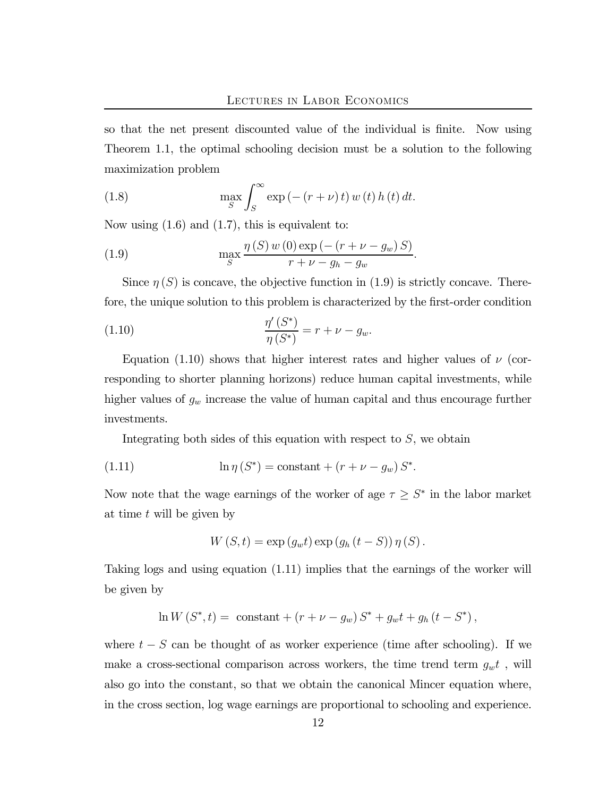so that the net present discounted value of the individual is finite. Now using Theorem 1.1, the optimal schooling decision must be a solution to the following maximization problem

(1.8) 
$$
\max_{S} \int_{S}^{\infty} \exp(-(r+\nu)t) w(t) h(t) dt.
$$

Now using  $(1.6)$  and  $(1.7)$ , this is equivalent to:

(1.9) 
$$
\max_{S} \frac{\eta(S) w(0) \exp(-(r + \nu - g_w) S)}{r + \nu - g_h - g_w}.
$$

Since  $\eta(S)$  is concave, the objective function in (1.9) is strictly concave. Therefore, the unique solution to this problem is characterized by the first-order condition

(1.10) 
$$
\frac{\eta'(S^*)}{\eta(S^*)} = r + \nu - g_w.
$$

Equation (1.10) shows that higher interest rates and higher values of  $\nu$  (corresponding to shorter planning horizons) reduce human capital investments, while higher values of  $g_w$  increase the value of human capital and thus encourage further investments.

Integrating both sides of this equation with respect to  $S$ , we obtain

(1.11) 
$$
\ln \eta \,(S^*) = \text{constant} + (r + \nu - g_w) \,S^*.
$$

Now note that the wage earnings of the worker of age  $\tau \geq S^*$  in the labor market at time  $t$  will be given by

$$
W(S,t) = \exp (g_w t) \exp (g_h (t - S)) \eta (S).
$$

Taking logs and using equation (1.11) implies that the earnings of the worker will be given by

$$
\ln W(S^*, t) = \text{ constant} + (r + \nu - g_w) S^* + g_w t + g_h (t - S^*),
$$

where  $t - S$  can be thought of as worker experience (time after schooling). If we make a cross-sectional comparison across workers, the time trend term  $g_{w}t$ , will also go into the constant, so that we obtain the canonical Mincer equation where, in the cross section, log wage earnings are proportional to schooling and experience.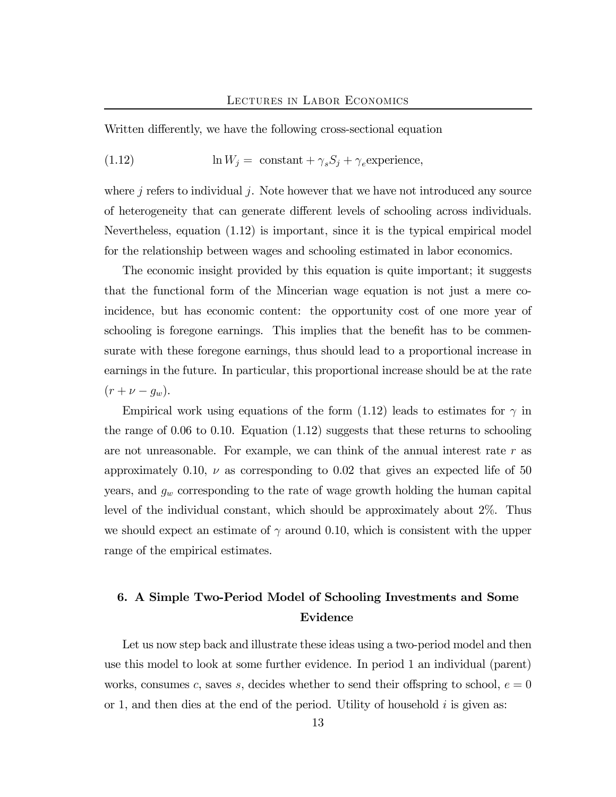Written differently, we have the following cross-sectional equation

(1.12) 
$$
\ln W_j = \text{ constant} + \gamma_s S_j + \gamma_e \text{experience},
$$

where  $j$  refers to individual  $j$ . Note however that we have not introduced any source of heterogeneity that can generate different levels of schooling across individuals. Nevertheless, equation (1.12) is important, since it is the typical empirical model for the relationship between wages and schooling estimated in labor economics.

The economic insight provided by this equation is quite important; it suggests that the functional form of the Mincerian wage equation is not just a mere coincidence, but has economic content: the opportunity cost of one more year of schooling is foregone earnings. This implies that the benefit has to be commensurate with these foregone earnings, thus should lead to a proportional increase in earnings in the future. In particular, this proportional increase should be at the rate  $(r + \nu - g_w).$ 

Empirical work using equations of the form (1.12) leads to estimates for  $\gamma$  in the range of 0.06 to 0.10. Equation (1.12) suggests that these returns to schooling are not unreasonable. For example, we can think of the annual interest rate  $r$  as approximately 0.10,  $\nu$  as corresponding to 0.02 that gives an expected life of 50 years, and  $g_w$  corresponding to the rate of wage growth holding the human capital level of the individual constant, which should be approximately about 2%. Thus we should expect an estimate of  $\gamma$  around 0.10, which is consistent with the upper range of the empirical estimates.

# 6. A Simple Two-Period Model of Schooling Investments and Some Evidence

Let us now step back and illustrate these ideas using a two-period model and then use this model to look at some further evidence. In period 1 an individual (parent) works, consumes c, saves s, decides whether to send their offspring to school,  $e = 0$ or 1, and then dies at the end of the period. Utility of household  $i$  is given as: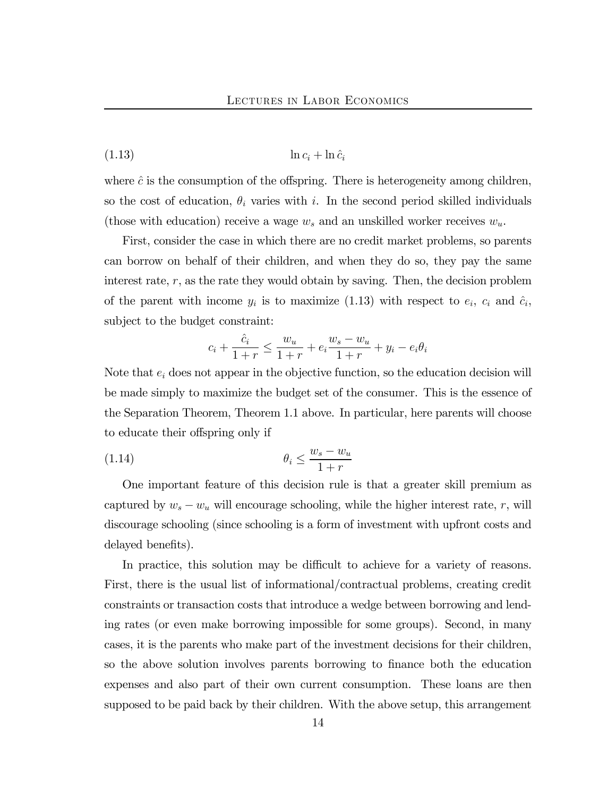(1.13) ln c<sup>i</sup> + ln ˆc<sup>i</sup>

where  $\hat{c}$  is the consumption of the offspring. There is heterogeneity among children, so the cost of education,  $\theta_i$  varies with i. In the second period skilled individuals (those with education) receive a wage  $w_s$  and an unskilled worker receives  $w_u$ .

First, consider the case in which there are no credit market problems, so parents can borrow on behalf of their children, and when they do so, they pay the same interest rate,  $r$ , as the rate they would obtain by saving. Then, the decision problem of the parent with income  $y_i$  is to maximize (1.13) with respect to  $e_i$ ,  $c_i$  and  $\hat{c}_i$ , subject to the budget constraint:

$$
c_i + \frac{\hat{c}_i}{1+r} \le \frac{w_u}{1+r} + e_i \frac{w_s - w_u}{1+r} + y_i - e_i \theta_i
$$

Note that  $e_i$  does not appear in the objective function, so the education decision will be made simply to maximize the budget set of the consumer. This is the essence of the Separation Theorem, Theorem 1.1 above. In particular, here parents will choose to educate their offspring only if

$$
\theta_i \le \frac{w_s - w_u}{1 + r}
$$

One important feature of this decision rule is that a greater skill premium as captured by  $w_s - w_u$  will encourage schooling, while the higher interest rate, r, will discourage schooling (since schooling is a form of investment with upfront costs and delayed benefits).

In practice, this solution may be difficult to achieve for a variety of reasons. First, there is the usual list of informational/contractual problems, creating credit constraints or transaction costs that introduce a wedge between borrowing and lending rates (or even make borrowing impossible for some groups). Second, in many cases, it is the parents who make part of the investment decisions for their children, so the above solution involves parents borrowing to finance both the education expenses and also part of their own current consumption. These loans are then supposed to be paid back by their children. With the above setup, this arrangement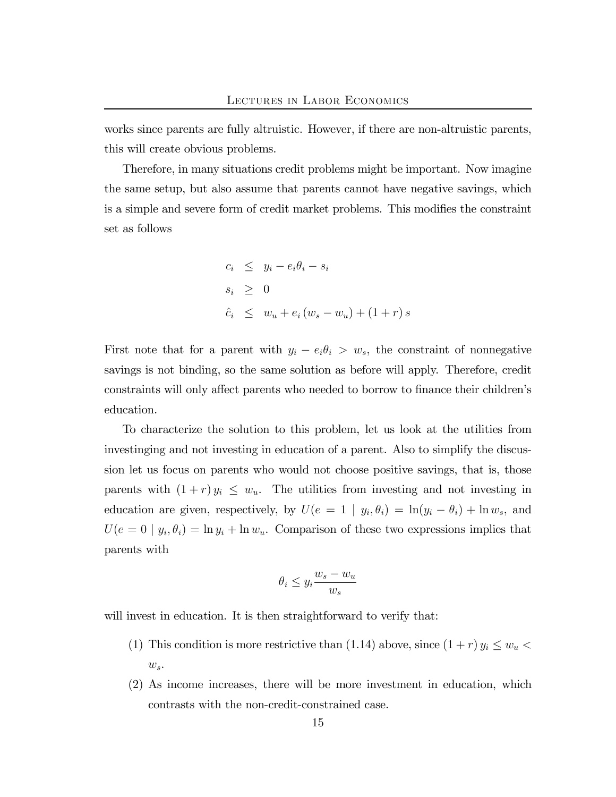works since parents are fully altruistic. However, if there are non-altruistic parents, this will create obvious problems.

Therefore, in many situations credit problems might be important. Now imagine the same setup, but also assume that parents cannot have negative savings, which is a simple and severe form of credit market problems. This modifies the constraint set as follows

$$
c_i \leq y_i - e_i \theta_i - s_i
$$
  
\n
$$
s_i \geq 0
$$
  
\n
$$
\hat{c}_i \leq w_u + e_i (w_s - w_u) + (1 + r) s
$$

First note that for a parent with  $y_i - e_i \theta_i > w_s$ , the constraint of nonnegative savings is not binding, so the same solution as before will apply. Therefore, credit constraints will only affect parents who needed to borrow to finance their children's education.

To characterize the solution to this problem, let us look at the utilities from investinging and not investing in education of a parent. Also to simplify the discussion let us focus on parents who would not choose positive savings, that is, those parents with  $(1 + r)y_i \leq w_u$ . The utilities from investing and not investing in education are given, respectively, by  $U(e = 1 | y_i, \theta_i) = \ln(y_i - \theta_i) + \ln w_s$ , and  $U(e = 0 | y_i, \theta_i) = \ln y_i + \ln w_u$ . Comparison of these two expressions implies that parents with

$$
\theta_i \le y_i \frac{w_s - w_u}{w_s}
$$

will invest in education. It is then straightforward to verify that:

- (1) This condition is more restrictive than (1.14) above, since  $(1 + r) y_i \leq w_u$  $w_s$ .
- (2) As income increases, there will be more investment in education, which contrasts with the non-credit-constrained case.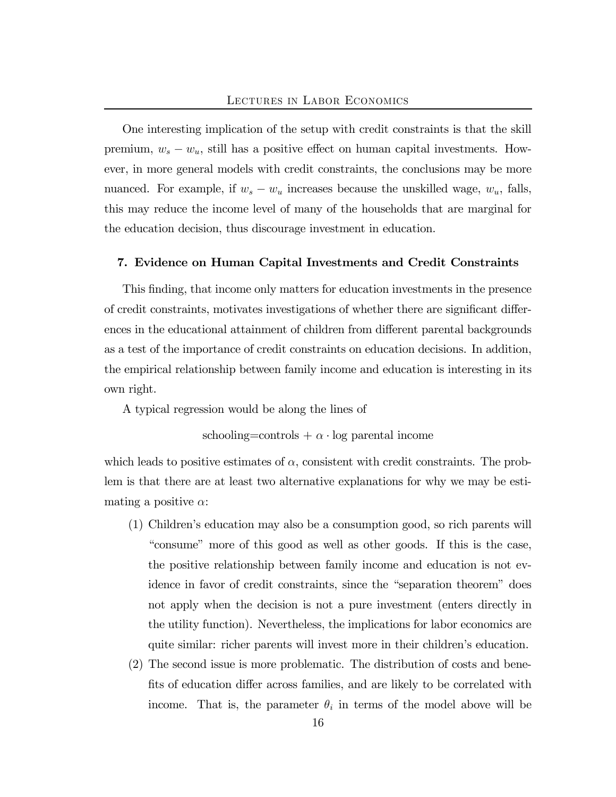One interesting implication of the setup with credit constraints is that the skill premium,  $w_s - w_u$ , still has a positive effect on human capital investments. However, in more general models with credit constraints, the conclusions may be more nuanced. For example, if  $w_s - w_u$  increases because the unskilled wage,  $w_u$ , falls, this may reduce the income level of many of the households that are marginal for the education decision, thus discourage investment in education.

## 7. Evidence on Human Capital Investments and Credit Constraints

This finding, that income only matters for education investments in the presence of credit constraints, motivates investigations of whether there are significant differences in the educational attainment of children from different parental backgrounds as a test of the importance of credit constraints on education decisions. In addition, the empirical relationship between family income and education is interesting in its own right.

A typical regression would be along the lines of

schooling=controls  $+ \alpha \cdot \log$  parental income

which leads to positive estimates of  $\alpha$ , consistent with credit constraints. The problem is that there are at least two alternative explanations for why we may be estimating a positive  $\alpha$ :

- (1) Children's education may also be a consumption good, so rich parents will "consume" more of this good as well as other goods. If this is the case, the positive relationship between family income and education is not evidence in favor of credit constraints, since the "separation theorem" does not apply when the decision is not a pure investment (enters directly in the utility function). Nevertheless, the implications for labor economics are quite similar: richer parents will invest more in their children's education.
- (2) The second issue is more problematic. The distribution of costs and benefits of education differ across families, and are likely to be correlated with income. That is, the parameter  $\theta_i$  in terms of the model above will be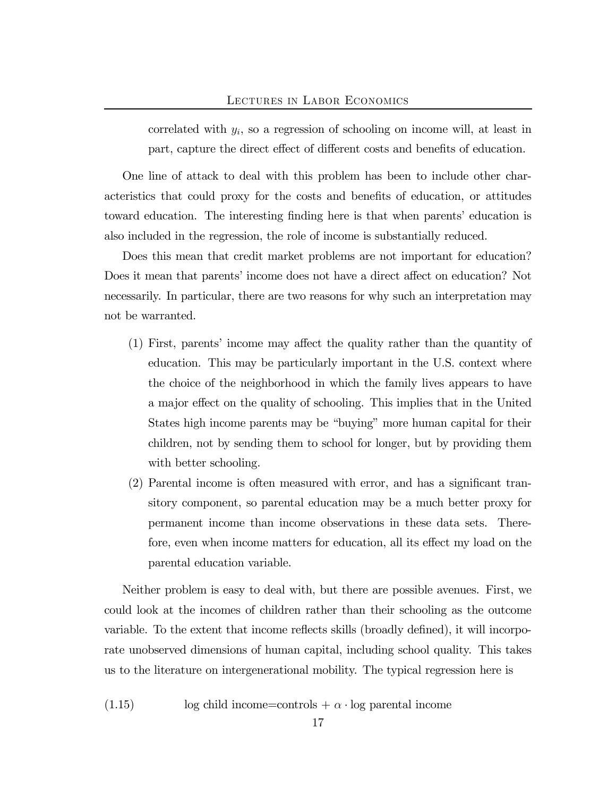correlated with  $y_i$ , so a regression of schooling on income will, at least in part, capture the direct effect of different costs and benefits of education.

One line of attack to deal with this problem has been to include other characteristics that could proxy for the costs and benefits of education, or attitudes toward education. The interesting finding here is that when parents' education is also included in the regression, the role of income is substantially reduced.

Does this mean that credit market problems are not important for education? Does it mean that parents' income does not have a direct affect on education? Not necessarily. In particular, there are two reasons for why such an interpretation may not be warranted.

- (1) First, parents' income may affect the quality rather than the quantity of education. This may be particularly important in the U.S. context where the choice of the neighborhood in which the family lives appears to have a major effect on the quality of schooling. This implies that in the United States high income parents may be "buying" more human capital for their children, not by sending them to school for longer, but by providing them with better schooling.
- (2) Parental income is often measured with error, and has a significant transitory component, so parental education may be a much better proxy for permanent income than income observations in these data sets. Therefore, even when income matters for education, all its effect my load on the parental education variable.

Neither problem is easy to deal with, but there are possible avenues. First, we could look at the incomes of children rather than their schooling as the outcome variable. To the extent that income reflects skills (broadly defined), it will incorporate unobserved dimensions of human capital, including school quality. This takes us to the literature on intergenerational mobility. The typical regression here is

(1.15) log child income=controls +  $\alpha$  · log parental income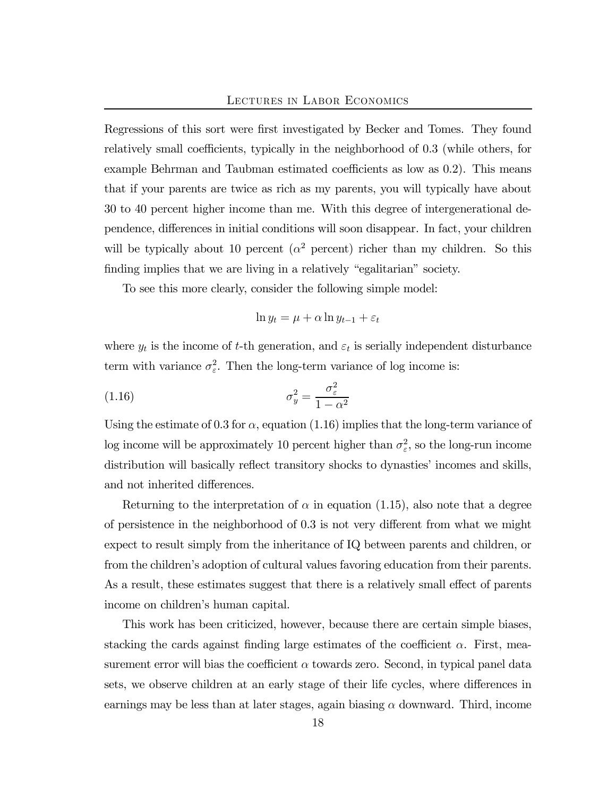Regressions of this sort were first investigated by Becker and Tomes. They found relatively small coefficients, typically in the neighborhood of 0.3 (while others, for example Behrman and Taubman estimated coefficients as low as 0.2). This means that if your parents are twice as rich as my parents, you will typically have about 30 to 40 percent higher income than me. With this degree of intergenerational dependence, differences in initial conditions will soon disappear. In fact, your children will be typically about 10 percent ( $\alpha^2$  percent) richer than my children. So this finding implies that we are living in a relatively "egalitarian" society.

To see this more clearly, consider the following simple model:

$$
\ln y_t = \mu + \alpha \ln y_{t-1} + \varepsilon_t
$$

where  $y_t$  is the income of t-th generation, and  $\varepsilon_t$  is serially independent disturbance term with variance  $\sigma_{\varepsilon}^2$ . Then the long-term variance of log income is:

$$
\sigma_y^2 = \frac{\sigma_\varepsilon^2}{1 - \alpha^2}
$$

Using the estimate of 0.3 for  $\alpha$ , equation (1.16) implies that the long-term variance of log income will be approximately 10 percent higher than  $\sigma_{\varepsilon}^2$ , so the long-run income distribution will basically reflect transitory shocks to dynasties' incomes and skills, and not inherited differences.

Returning to the interpretation of  $\alpha$  in equation (1.15), also note that a degree of persistence in the neighborhood of 0.3 is not very different from what we might expect to result simply from the inheritance of IQ between parents and children, or from the children's adoption of cultural values favoring education from their parents. As a result, these estimates suggest that there is a relatively small effect of parents income on children's human capital.

This work has been criticized, however, because there are certain simple biases, stacking the cards against finding large estimates of the coefficient  $\alpha$ . First, measurement error will bias the coefficient  $\alpha$  towards zero. Second, in typical panel data sets, we observe children at an early stage of their life cycles, where differences in earnings may be less than at later stages, again biasing  $\alpha$  downward. Third, income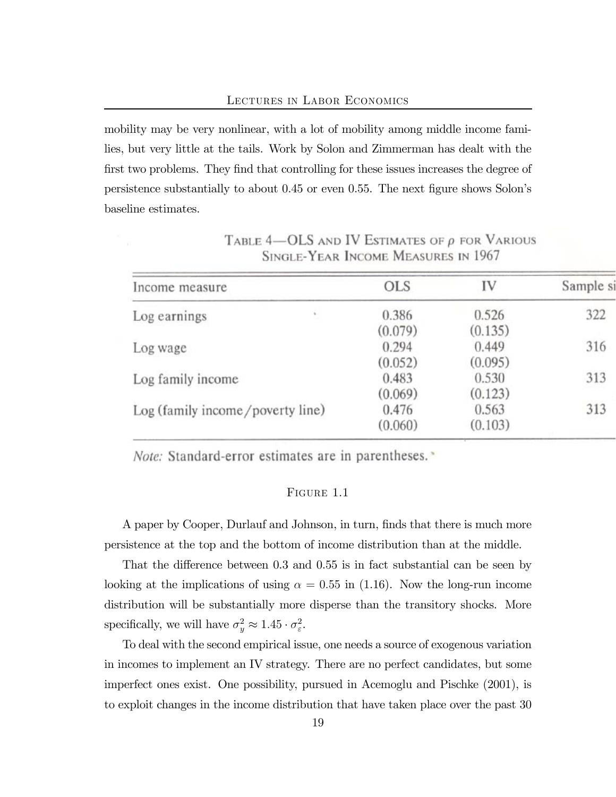mobility may be very nonlinear, with a lot of mobility among middle income families, but very little at the tails. Work by Solon and Zimmerman has dealt with the first two problems. They find that controlling for these issues increases the degree of persistence substantially to about 0.45 or even 0.55. The next figure shows Solon's baseline estimates.

| Income measure                   | <b>OLS</b> | IV      | Sample si |
|----------------------------------|------------|---------|-----------|
| Log earnings                     | 0.386      | 0.526   | 322       |
|                                  | (0.079)    | (0.135) |           |
| Log wage                         | 0.294      | 0.449   | 316       |
|                                  | (0.052)    | (0.095) |           |
| Log family income                | 0.483      | 0.530   | 313       |
|                                  | (0.069)    | (0.123) |           |
| Log (family income/poverty line) | 0.476      | 0.563   | 313       |
|                                  | (0.060)    | (0.103) |           |

TABLE  $4$ —OLS AND IV ESTIMATES OF  $\rho$  for Various SINGLE-YEAR INCOME MEASURES IN 1967

Note: Standard-error estimates are in parentheses. »

## FIGURE 1.1

A paper by Cooper, Durlauf and Johnson, in turn, finds that there is much more persistence at the top and the bottom of income distribution than at the middle.

That the difference between 0.3 and 0.55 is in fact substantial can be seen by looking at the implications of using  $\alpha = 0.55$  in (1.16). Now the long-run income distribution will be substantially more disperse than the transitory shocks. More specifically, we will have  $\sigma_y^2 \approx 1.45 \cdot \sigma_{\varepsilon}^2$ .

To deal with the second empirical issue, one needs a source of exogenous variation in incomes to implement an IV strategy. There are no perfect candidates, but some imperfect ones exist. One possibility, pursued in Acemoglu and Pischke (2001), is to exploit changes in the income distribution that have taken place over the past 30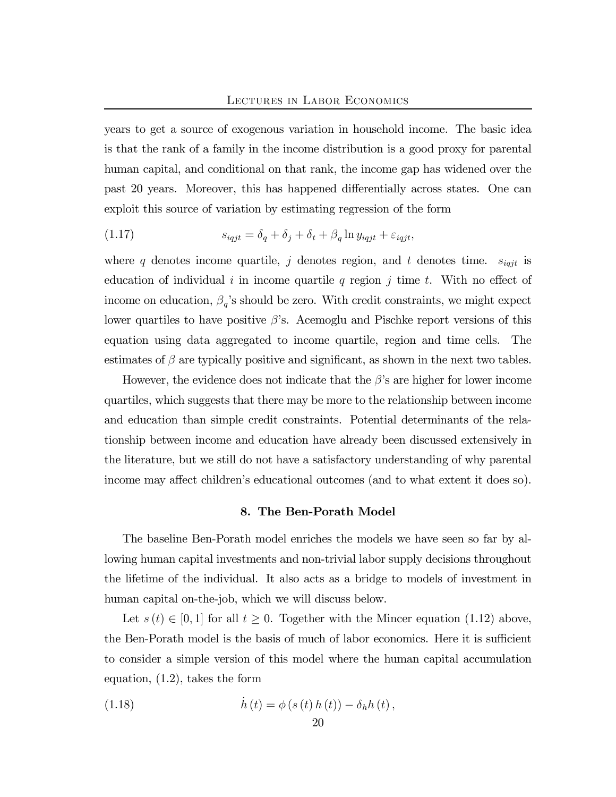years to get a source of exogenous variation in household income. The basic idea is that the rank of a family in the income distribution is a good proxy for parental human capital, and conditional on that rank, the income gap has widened over the past 20 years. Moreover, this has happened differentially across states. One can exploit this source of variation by estimating regression of the form

(1.17) 
$$
s_{iqjt} = \delta_q + \delta_j + \delta_t + \beta_q \ln y_{iqjt} + \varepsilon_{iqjt},
$$

where q denotes income quartile, j denotes region, and t denotes time.  $s_{iqjt}$  is education of individual i in income quartile q region j time t. With no effect of income on education,  $\beta_q$ 's should be zero. With credit constraints, we might expect lower quartiles to have positive  $\beta$ 's. Acemoglu and Pischke report versions of this equation using data aggregated to income quartile, region and time cells. The estimates of  $\beta$  are typically positive and significant, as shown in the next two tables.

However, the evidence does not indicate that the  $\beta$ 's are higher for lower income quartiles, which suggests that there may be more to the relationship between income and education than simple credit constraints. Potential determinants of the relationship between income and education have already been discussed extensively in the literature, but we still do not have a satisfactory understanding of why parental income may affect children's educational outcomes (and to what extent it does so).

### 8. The Ben-Porath Model

The baseline Ben-Porath model enriches the models we have seen so far by allowing human capital investments and non-trivial labor supply decisions throughout the lifetime of the individual. It also acts as a bridge to models of investment in human capital on-the-job, which we will discuss below.

Let  $s(t) \in [0,1]$  for all  $t \geq 0$ . Together with the Mincer equation (1.12) above, the Ben-Porath model is the basis of much of labor economics. Here it is sufficient to consider a simple version of this model where the human capital accumulation equation, (1.2), takes the form

(1.18) 
$$
\dot{h}(t) = \phi(s(t) h(t)) - \delta_h h(t),
$$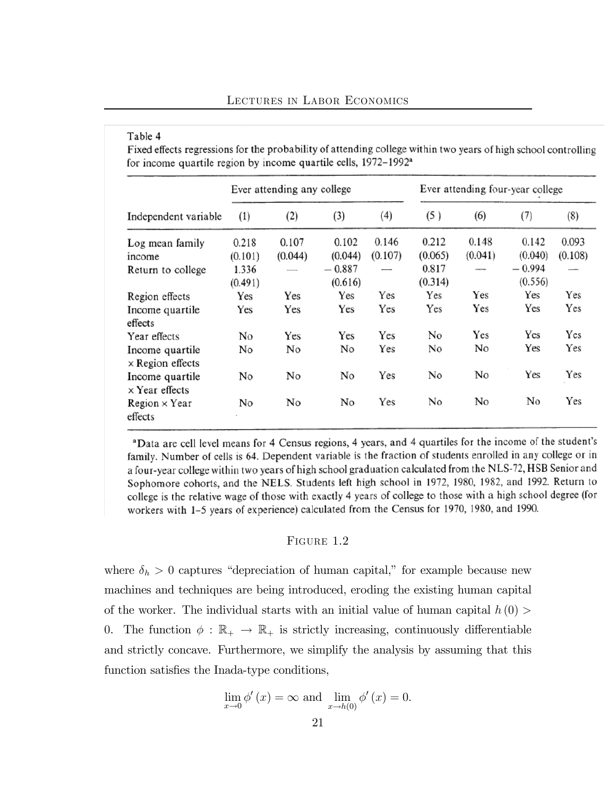### Table 4

Fixed effects regressions for the probability of attending college within two years of high school controlling for income quartile region by income quartile cells,  $1972-1992^a$ 

|                                                                  | Ever attending any college           |                  |                                         |                  | Ever attending four-year college     |                  |                                         |                  |
|------------------------------------------------------------------|--------------------------------------|------------------|-----------------------------------------|------------------|--------------------------------------|------------------|-----------------------------------------|------------------|
| Independent variable                                             | (1)                                  | (2)              | (3)                                     | (4)              | (5)                                  | (6)              | (7)                                     | (8)              |
| Log mean family<br>income<br>Return to college                   | 0.218<br>(0.101)<br>1.336<br>(0.491) | 0.107<br>(0.044) | 0.102<br>(0.044)<br>$-0.887$<br>(0.616) | 0.146<br>(0.107) | 0.212<br>(0.065)<br>0.817<br>(0.314) | 0.148<br>(0.041) | 0.142<br>(0.040)<br>$-0.994$<br>(0.556) | 0.093<br>(0.108) |
| Region effects<br>Income quartile<br>effects                     | Yes<br>Yes                           | Yes<br>Yes       | Yes<br>Yes                              | Yes<br>Yes       | Yes<br>Yes                           | Yes<br>Yes       | Yes<br>Yes                              | Yes<br>Yes       |
| Year effects<br>Income quartile<br>$\times$ Region effects       | No<br>No                             | Yes<br>No        | Yes<br>No                               | Yes<br>Yes       | No<br>No                             | Yes<br>No        | Yes<br>Yes                              | Yes<br>Yes       |
| Income quartile<br>$\times$ Year effects<br>$Region \times Year$ | No<br>No                             | No<br>No         | No<br>No                                | Yes<br>Yes       | No<br>No                             | No<br>No         | Yes<br>No                               | Yes<br>Yes       |
| effects                                                          |                                      |                  |                                         |                  |                                      |                  |                                         |                  |

aData are cell level means for 4 Census regions, 4 years, and 4 quartiles for the income of the student's family. Number of cells is 64. Dependent variable is the fraction of students enrolled in any college or in a four-year college within two years of high school graduation calculated from the NLS-72, HSB Senior and Sophomore cohorts, and the NELS. Students left high school in 1972, 1980, 1982, and 1992. Return to college is the relative wage of those with exactly 4 years of college to those with a high school degree (for workers with 1-5 years of experience) calculated from the Census for 1970, 1980, and 1990.

### FIGURE 1.2

where  $\delta_h > 0$  captures "depreciation of human capital," for example because new machines and techniques are being introduced, eroding the existing human capital of the worker. The individual starts with an initial value of human capital  $h(0)$ 0. The function  $\phi : \mathbb{R}_+ \to \mathbb{R}_+$  is strictly increasing, continuously differentiable and strictly concave. Furthermore, we simplify the analysis by assuming that this function satisfies the Inada-type conditions,

$$
\lim_{x \to 0} \phi'(x) = \infty \text{ and } \lim_{x \to h(0)} \phi'(x) = 0.
$$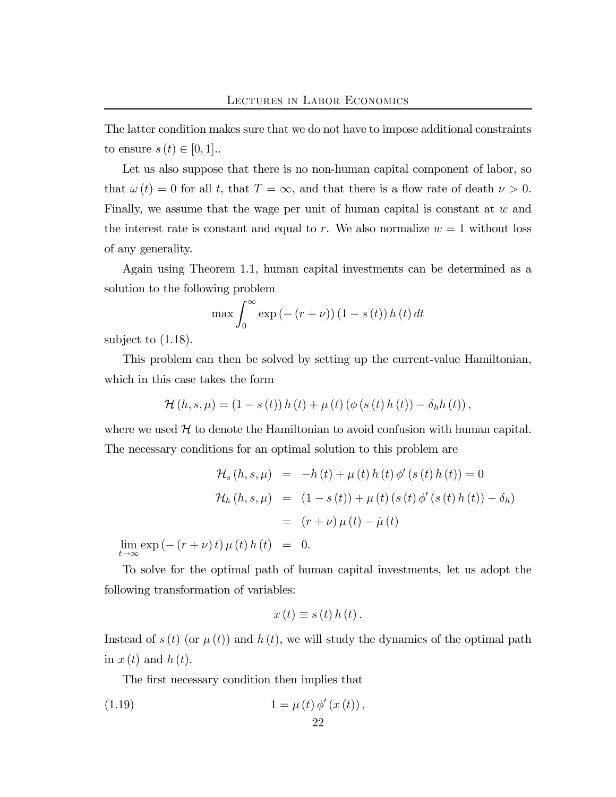The latter condition makes sure that we do not have to impose additional constraints to ensure  $s(t) \in [0,1]$ ..

Let us also suppose that there is no non-human capital component of labor, so that  $\omega(t)=0$  for all t, that  $T = \infty$ , and that there is a flow rate of death  $\nu > 0$ . Finally, we assume that the wage per unit of human capital is constant at w and the interest rate is constant and equal to r. We also normalize  $w = 1$  without loss of any generality.

Again using Theorem 1.1, human capital investments can be determined as a solution to the following problem

$$
\max \int_0^\infty \exp(-(r+\nu))(1-s(t))h(t) dt
$$

subject to (1.18).

This problem can then be solved by setting up the current-value Hamiltonian, which in this case takes the form

$$
\mathcal{H}(h, s, \mu) = (1 - s(t)) h(t) + \mu(t) (\phi(s(t) h(t)) - \delta_h h(t)),
$$

where we used  $H$  to denote the Hamiltonian to avoid confusion with human capital. The necessary conditions for an optimal solution to this problem are

$$
\mathcal{H}_s (h, s, \mu) = -h(t) + \mu(t) h(t) \phi'(s(t) h(t)) = 0
$$
  

$$
\mathcal{H}_h (h, s, \mu) = (1 - s(t)) + \mu(t) (s(t) \phi'(s(t) h(t)) - \delta_h)
$$
  

$$
= (r + \nu) \mu(t) - \mu(t)
$$

 $\lim_{t \to \infty} \exp(-(r + \nu)t) \mu(t) h(t) = 0.$ 

To solve for the optimal path of human capital investments, let us adopt the following transformation of variables:

$$
x(t) \equiv s(t) h(t).
$$

Instead of  $s(t)$  (or  $\mu(t)$ ) and  $h(t)$ , we will study the dynamics of the optimal path in  $x(t)$  and  $h(t)$ .

The first necessary condition then implies that

(1.19) 
$$
1 = \mu(t) \phi'(x(t)),
$$

22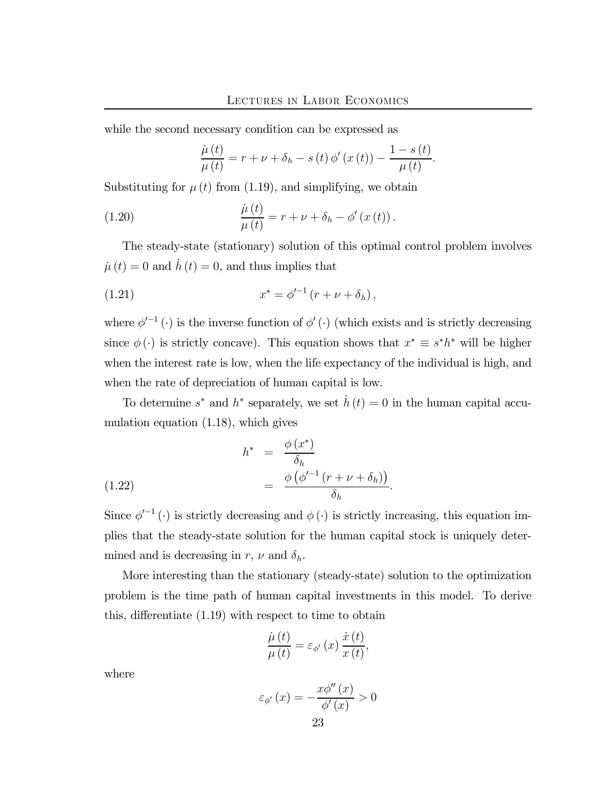while the second necessary condition can be expressed as

$$
\frac{\dot{\mu}(t)}{\mu(t)} = r + \nu + \delta_h - s(t) \phi'(x(t)) - \frac{1 - s(t)}{\mu(t)}.
$$

Substituting for  $\mu(t)$  from (1.19), and simplifying, we obtain

(1.20) 
$$
\frac{\dot{\mu}(t)}{\mu(t)} = r + \nu + \delta_h - \phi'(x(t)).
$$

The steady-state (stationary) solution of this optimal control problem involves  $\dot{\mu}(t)=0$  and  $\dot{h}(t)=0$ , and thus implies that

(1.21) 
$$
x^* = \phi'^{-1} (r + \nu + \delta_h),
$$

where  $\phi'^{-1}(\cdot)$  is the inverse function of  $\phi'(\cdot)$  (which exists and is strictly decreasing since  $\phi(\cdot)$  is strictly concave). This equation shows that  $x^* \equiv s^*h^*$  will be higher when the interest rate is low, when the life expectancy of the individual is high, and when the rate of depreciation of human capital is low.

To determine  $s^*$  and  $h^*$  separately, we set  $\dot{h}(t)=0$  in the human capital accumulation equation (1.18), which gives

(1.22) 
$$
h^* = \frac{\phi(x^*)}{\delta_h} = \frac{\phi(\phi'^{-1}(r+\nu+\delta_h))}{\delta_h}.
$$

Since  $\phi'^{-1}(\cdot)$  is strictly decreasing and  $\phi(\cdot)$  is strictly increasing, this equation implies that the steady-state solution for the human capital stock is uniquely determined and is decreasing in r,  $\nu$  and  $\delta_h$ .

More interesting than the stationary (steady-state) solution to the optimization problem is the time path of human capital investments in this model. To derive this, differentiate (1.19) with respect to time to obtain

$$
\frac{\dot{\mu}(t)}{\mu(t)} = \varepsilon_{\phi'}(x) \frac{\dot{x}(t)}{x(t)},
$$

where

$$
\varepsilon_{\phi'}(x) = -\frac{x\phi''(x)}{\phi'(x)} > 0
$$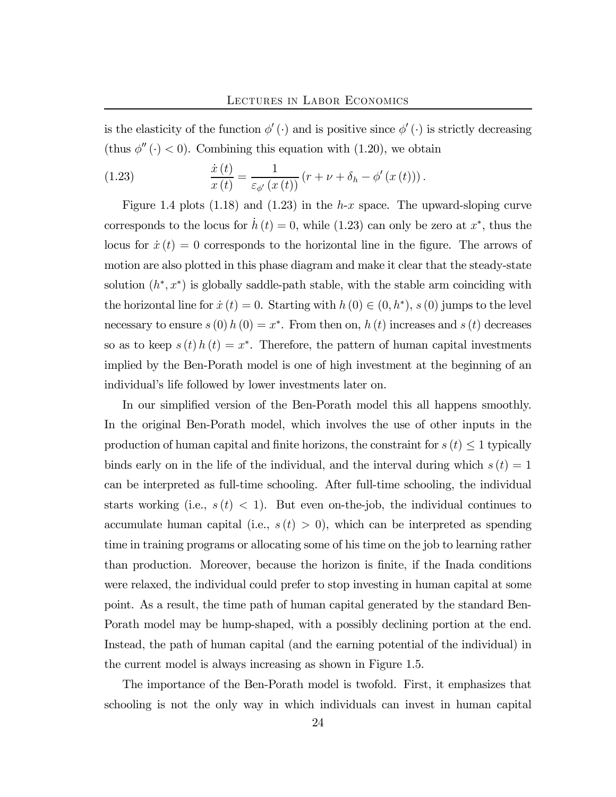is the elasticity of the function  $\phi'(\cdot)$  and is positive since  $\phi'(\cdot)$  is strictly decreasing (thus  $\phi''(\cdot) < 0$ ). Combining this equation with (1.20), we obtain

(1.23) 
$$
\frac{\dot{x}(t)}{x(t)} = \frac{1}{\varepsilon_{\phi'}(x(t))} (r + \nu + \delta_h - \phi'(x(t))).
$$

Figure 1.4 plots (1.18) and (1.23) in the h-x space. The upward-sloping curve corresponds to the locus for  $\dot{h}(t)=0$ , while (1.23) can only be zero at  $x^*$ , thus the locus for  $\dot{x}(t)=0$  corresponds to the horizontal line in the figure. The arrows of motion are also plotted in this phase diagram and make it clear that the steady-state solution  $(h^*, x^*)$  is globally saddle-path stable, with the stable arm coinciding with the horizontal line for  $\dot{x}(t)=0$ . Starting with  $h(0) \in (0, h^*)$ , s (0) jumps to the level necessary to ensure  $s(0) h(0) = x^*$ . From then on,  $h(t)$  increases and  $s(t)$  decreases so as to keep  $s(t) h(t) = x^*$ . Therefore, the pattern of human capital investments implied by the Ben-Porath model is one of high investment at the beginning of an individual's life followed by lower investments later on.

In our simplified version of the Ben-Porath model this all happens smoothly. In the original Ben-Porath model, which involves the use of other inputs in the production of human capital and finite horizons, the constraint for  $s(t) \leq 1$  typically binds early on in the life of the individual, and the interval during which  $s(t)=1$ can be interpreted as full-time schooling. After full-time schooling, the individual starts working (i.e.,  $s(t) < 1$ ). But even on-the-job, the individual continues to accumulate human capital (i.e.,  $s(t) > 0$ ), which can be interpreted as spending time in training programs or allocating some of his time on the job to learning rather than production. Moreover, because the horizon is finite, if the Inada conditions were relaxed, the individual could prefer to stop investing in human capital at some point. As a result, the time path of human capital generated by the standard Ben-Porath model may be hump-shaped, with a possibly declining portion at the end. Instead, the path of human capital (and the earning potential of the individual) in the current model is always increasing as shown in Figure 1.5.

The importance of the Ben-Porath model is twofold. First, it emphasizes that schooling is not the only way in which individuals can invest in human capital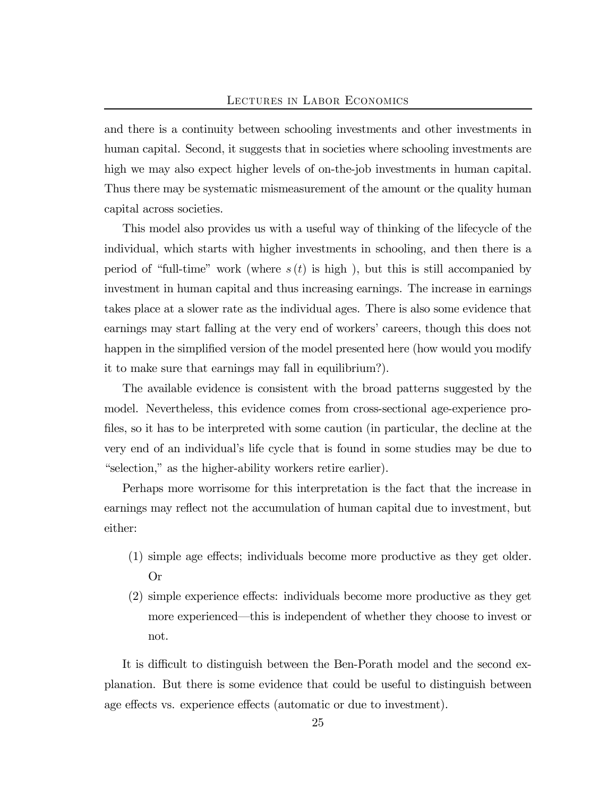and there is a continuity between schooling investments and other investments in human capital. Second, it suggests that in societies where schooling investments are high we may also expect higher levels of on-the-job investments in human capital. Thus there may be systematic mismeasurement of the amount or the quality human capital across societies.

This model also provides us with a useful way of thinking of the lifecycle of the individual, which starts with higher investments in schooling, and then there is a period of "full-time" work (where  $s(t)$  is high), but this is still accompanied by investment in human capital and thus increasing earnings. The increase in earnings takes place at a slower rate as the individual ages. There is also some evidence that earnings may start falling at the very end of workers' careers, though this does not happen in the simplified version of the model presented here (how would you modify it to make sure that earnings may fall in equilibrium?).

The available evidence is consistent with the broad patterns suggested by the model. Nevertheless, this evidence comes from cross-sectional age-experience profiles, so it has to be interpreted with some caution (in particular, the decline at the very end of an individual's life cycle that is found in some studies may be due to "selection," as the higher-ability workers retire earlier).

Perhaps more worrisome for this interpretation is the fact that the increase in earnings may reflect not the accumulation of human capital due to investment, but either:

- (1) simple age effects; individuals become more productive as they get older. Or
- (2) simple experience effects: individuals become more productive as they get more experienced–this is independent of whether they choose to invest or not.

It is difficult to distinguish between the Ben-Porath model and the second explanation. But there is some evidence that could be useful to distinguish between age effects vs. experience effects (automatic or due to investment).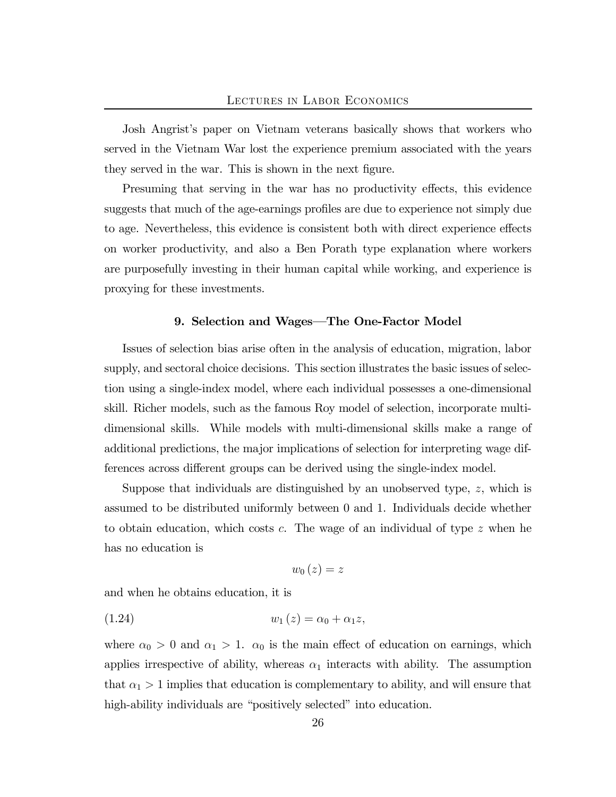Josh Angrist's paper on Vietnam veterans basically shows that workers who served in the Vietnam War lost the experience premium associated with the years they served in the war. This is shown in the next figure.

Presuming that serving in the war has no productivity effects, this evidence suggests that much of the age-earnings profiles are due to experience not simply due to age. Nevertheless, this evidence is consistent both with direct experience effects on worker productivity, and also a Ben Porath type explanation where workers are purposefully investing in their human capital while working, and experience is proxying for these investments.

### 9. Selection and Wages–The One-Factor Model

Issues of selection bias arise often in the analysis of education, migration, labor supply, and sectoral choice decisions. This section illustrates the basic issues of selection using a single-index model, where each individual possesses a one-dimensional skill. Richer models, such as the famous Roy model of selection, incorporate multidimensional skills. While models with multi-dimensional skills make a range of additional predictions, the major implications of selection for interpreting wage differences across different groups can be derived using the single-index model.

Suppose that individuals are distinguished by an unobserved type, z, which is assumed to be distributed uniformly between 0 and 1. Individuals decide whether to obtain education, which costs c. The wage of an individual of type z when he has no education is

$$
w_{0}\left( z\right) =z
$$

and when he obtains education, it is

(1.24) 
$$
w_1(z) = \alpha_0 + \alpha_1 z,
$$

where  $\alpha_0 > 0$  and  $\alpha_1 > 1$ .  $\alpha_0$  is the main effect of education on earnings, which applies irrespective of ability, whereas  $\alpha_1$  interacts with ability. The assumption that  $\alpha_1 > 1$  implies that education is complementary to ability, and will ensure that high-ability individuals are "positively selected" into education.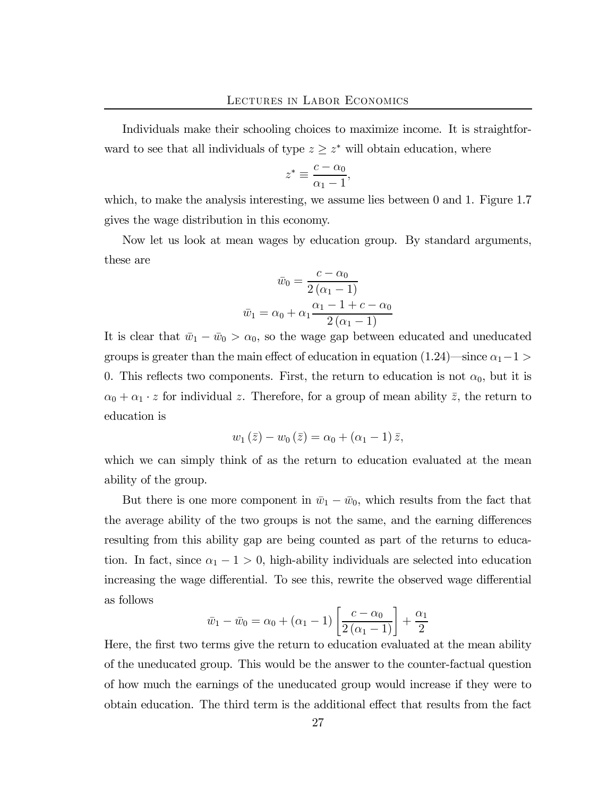Individuals make their schooling choices to maximize income. It is straightforward to see that all individuals of type  $z \geq z^*$  will obtain education, where

$$
z^* \equiv \frac{c - \alpha_0}{\alpha_1 - 1},
$$

which, to make the analysis interesting, we assume lies between 0 and 1. Figure 1.7 gives the wage distribution in this economy.

Now let us look at mean wages by education group. By standard arguments, these are

$$
\bar{w}_0 = \frac{c - \alpha_0}{2(\alpha_1 - 1)}
$$

$$
\bar{w}_1 = \alpha_0 + \alpha_1 \frac{\alpha_1 - 1 + c - \alpha_0}{2(\alpha_1 - 1)}
$$

It is clear that  $\bar{w}_1 - \bar{w}_0 > \alpha_0$ , so the wage gap between educated and uneducated groups is greater than the main effect of education in equation (1.24)—since  $\alpha_1-1$  > 0. This reflects two components. First, the return to education is not  $\alpha_0$ , but it is  $\alpha_0 + \alpha_1 \cdot z$  for individual z. Therefore, for a group of mean ability  $\bar{z}$ , the return to education is

$$
w_1(\bar{z})-w_0(\bar{z})=\alpha_0+(\alpha_1-1)\,\bar{z},
$$

which we can simply think of as the return to education evaluated at the mean ability of the group.

But there is one more component in  $\bar{w}_1 - \bar{w}_0$ , which results from the fact that the average ability of the two groups is not the same, and the earning differences resulting from this ability gap are being counted as part of the returns to education. In fact, since  $\alpha_1 - 1 > 0$ , high-ability individuals are selected into education increasing the wage differential. To see this, rewrite the observed wage differential as follows

$$
\bar{w}_1 - \bar{w}_0 = \alpha_0 + (\alpha_1 - 1) \left[ \frac{c - \alpha_0}{2(\alpha_1 - 1)} \right] + \frac{\alpha_1}{2}
$$

Here, the first two terms give the return to education evaluated at the mean ability of the uneducated group. This would be the answer to the counter-factual question of how much the earnings of the uneducated group would increase if they were to obtain education. The third term is the additional effect that results from the fact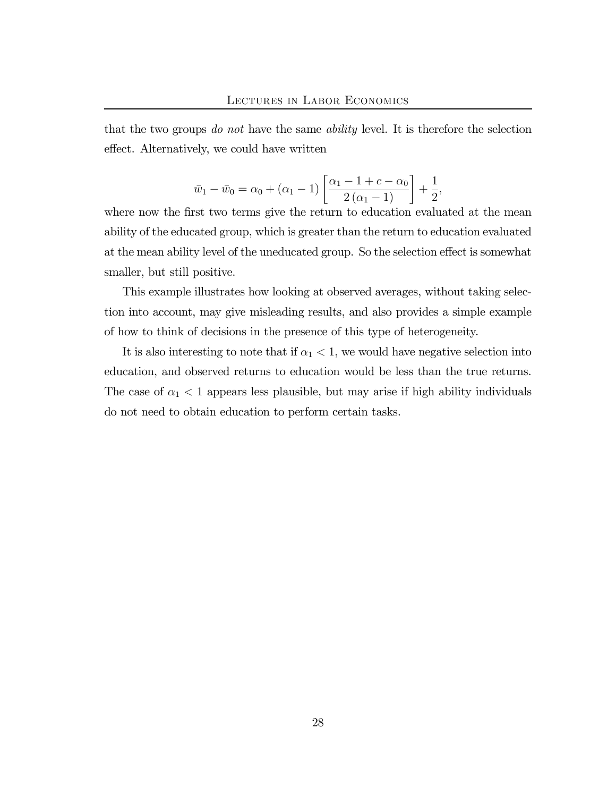that the two groups do not have the same ability level. It is therefore the selection effect. Alternatively, we could have written

$$
\bar{w}_1 - \bar{w}_0 = \alpha_0 + (\alpha_1 - 1) \left[ \frac{\alpha_1 - 1 + c - \alpha_0}{2(\alpha_1 - 1)} \right] + \frac{1}{2}
$$

,

where now the first two terms give the return to education evaluated at the mean ability of the educated group, which is greater than the return to education evaluated at the mean ability level of the uneducated group. So the selection effect is somewhat smaller, but still positive.

This example illustrates how looking at observed averages, without taking selection into account, may give misleading results, and also provides a simple example of how to think of decisions in the presence of this type of heterogeneity.

It is also interesting to note that if  $\alpha_1 < 1$ , we would have negative selection into education, and observed returns to education would be less than the true returns. The case of  $\alpha_1$  < 1 appears less plausible, but may arise if high ability individuals do not need to obtain education to perform certain tasks.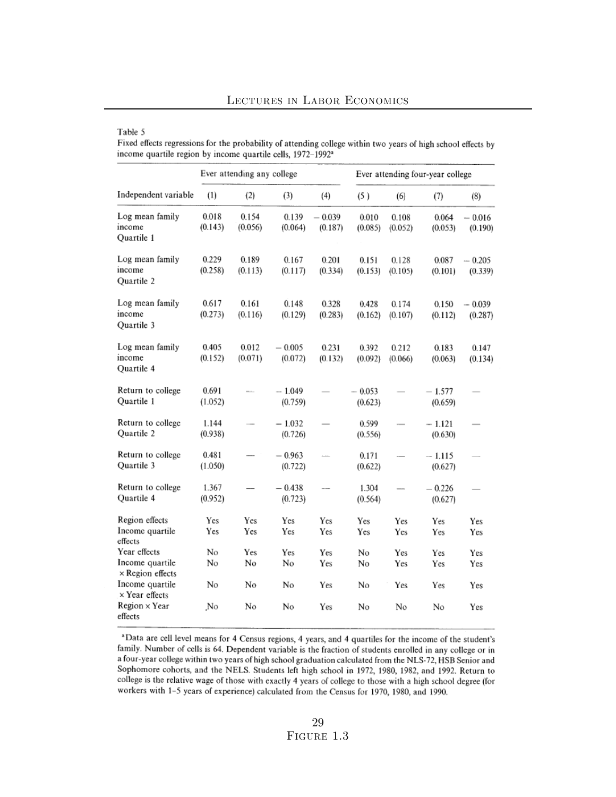#### Table 5

Fixed effects regressions for the probability of attending college within two years of high school effects by income quartile region by income quartile cells, 1972-1992<sup>a</sup>

|                                                            | Ever attending any college |                  |                     |                          | Ever attending four-year college |                   |                     |                     |
|------------------------------------------------------------|----------------------------|------------------|---------------------|--------------------------|----------------------------------|-------------------|---------------------|---------------------|
| Independent variable                                       | (1)                        | (2)              | (3)                 | (4)                      | (5)                              | (6)               | (7)                 | (8)                 |
| Log mean family<br>income<br>Ouartile 1                    | 0.018<br>(0.143)           | 0.154<br>(0.056) | 0.139<br>(0.064)    | $-0.039$<br>(0.187)      | 0.010<br>(0.085)                 | 0.108<br>(0.052)  | 0.064<br>(0.053)    | $-0.016$<br>(0.190) |
| Log mean family<br>income<br><b>Ouartile 2</b>             | 0.229<br>(0.258)           | 0.189<br>(0.113) | 0.167<br>(0.117)    | 0.201<br>(0.334)         | 0.151<br>(0.153)                 | 0.128<br>(0.105)  | 0.087<br>(0.101)    | $-0.205$<br>(0.339) |
| Log mean family<br>income<br>Ouartile 3                    | 0.617<br>(0.273)           | 0.161<br>(0.116) | 0.148<br>(0.129)    | 0.328<br>(0.283)         | 0.428<br>(0.162)                 | 0.174<br>(0.107)  | 0.150<br>(0.112)    | $-0.039$<br>(0.287) |
| Log mean family<br>income<br><b>Ouartile 4</b>             | 0.405<br>(0.152)           | 0.012<br>(0.071) | $-0.005$<br>(0.072) | 0.231<br>(0.132)         | 0.392<br>(0.092)                 | 0.212<br>(0.066)  | 0.183<br>(0.063)    | 0.147<br>(0.134)    |
| Return to college<br>Quartile 1                            | 0.691<br>(1.052)           |                  | $-1.049$<br>(0.759) |                          | $-0.053$<br>(0.623)              |                   | $-1.577$<br>(0.659) |                     |
| Return to college<br>Quartile 2                            | 1.144<br>(0.938)           |                  | $-1.032$<br>(0.726) |                          | 0.599<br>(0.556)                 |                   | - 1.121<br>(0.630)  |                     |
| Return to college<br>Quartile 3                            | 0.481<br>(1.050)           |                  | $-0.963$<br>(0.722) | $\overline{\phantom{a}}$ | 0.171<br>(0.622)                 |                   | $-1.115$<br>(0.627) |                     |
| Return to college<br>Quartile 4                            | 1.367<br>(0.952)           |                  | $-0.438$<br>(0.723) | $\overline{\phantom{a}}$ | 1.304<br>(0.564)                 |                   | $-0.226$<br>(0.627) |                     |
| Region effects<br>Income quartile<br>effects               | Yes<br>Yes                 | Yes<br>Yes       | Yes<br>Yes          | Yes<br>Yes               | Yes<br>Yes                       | Yes<br>Yes        | Yes<br>Yes          | Yes<br>Yes          |
| Year effects<br>Income quartile<br>$\times$ Region effects | No<br>No                   | Yes<br>No        | <b>Yes</b><br>No    | Yes<br>Yes               | No<br>No                         | Yes<br><b>Yes</b> | Yes<br>Yes          | Yes<br>Yes          |
| Income quartile<br>$\times$ Year effects                   | No                         | No               | No                  | Yes                      | No                               | Yes               | Yes                 | Yes                 |
| $Region \times Year$<br>effects                            | No                         | No               | No                  | Yes                      | No                               | No                | No                  | Yes                 |

a Data are cell level means for 4 Census regions, 4 years, and 4 quartiles for the income of the student's family. Number of cells is 64. Dependent variable is the fraction of students enrolled in any college or in a four-year college within two years of high school graduation calculated from the NLS-72, HSB Senior and Sophomore cohorts, and the NELS. Students left high school in 1972, 1980, 1982, and 1992. Return to college is the relative wage of those with exactly 4 years of college to those with a high school degree (for workers with 1-5 years of experience) calculated from the Census for 1970, 1980, and 1990.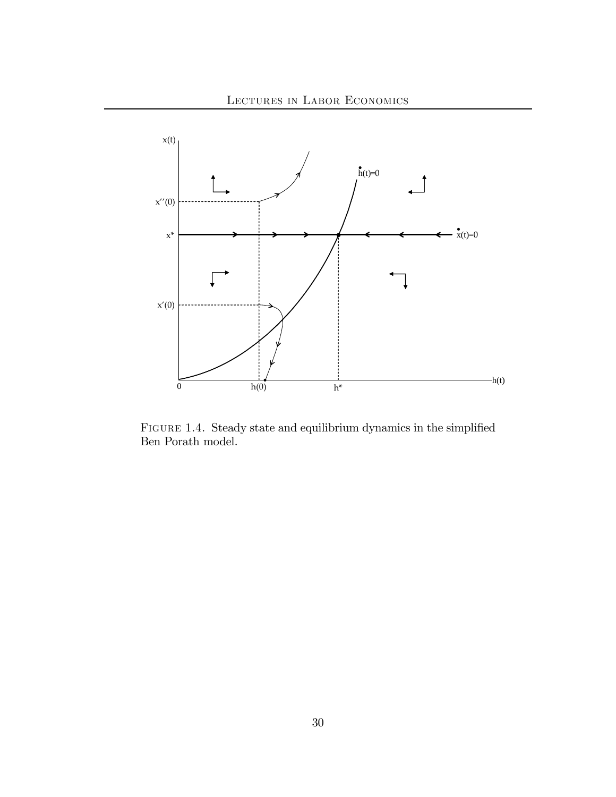

Figure 1.4. Steady state and equilibrium dynamics in the simplified Ben Porath model.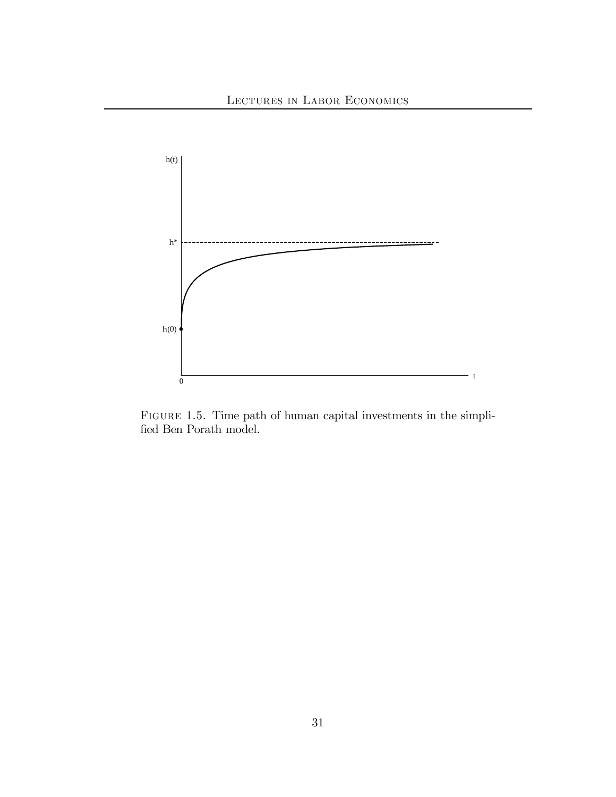

FIGURE 1.5. Time path of human capital investments in the simplified Ben Porath model.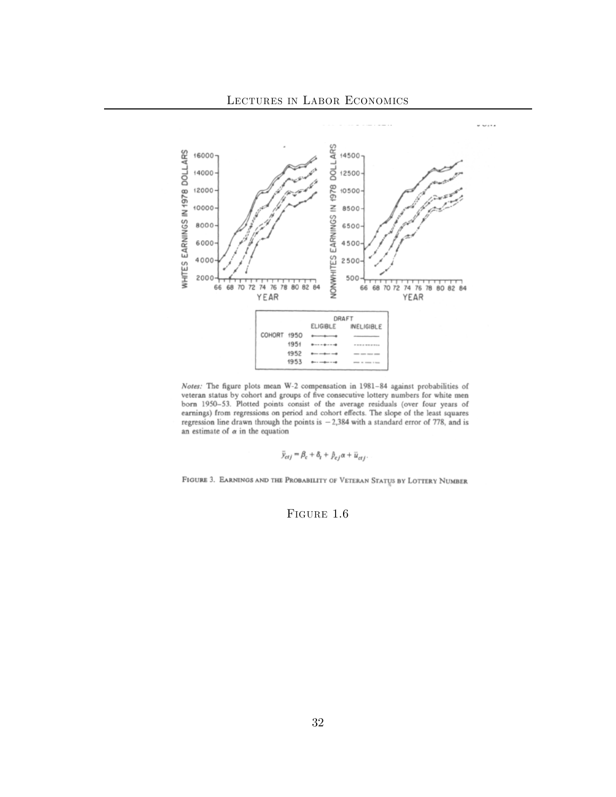

Notes: The figure plots mean W-2 compensation in 1981-84 against probabilities of veteran status by cohort and groups of five consecutive lottery numbers for white men born 1950-53. Plotted points consist of the average residuals (over four years of earnings) from regressions on period and cohort effects. The slope of the least squares regression line drawn through the points is  $-2,384$  with a standard error of 778, and is an estimate of  $\alpha$  in the equation

$$
\bar{y}_{ctj} = \beta_c + \delta_t + \hat{p}_{cj} \alpha + \bar{u}_{ctj}.
$$

FIGURE 3. EARNINGS AND THE PROBABILITY OF VETERAN STATUS BY LOTTERY NUMBER

FIGURE 1.6